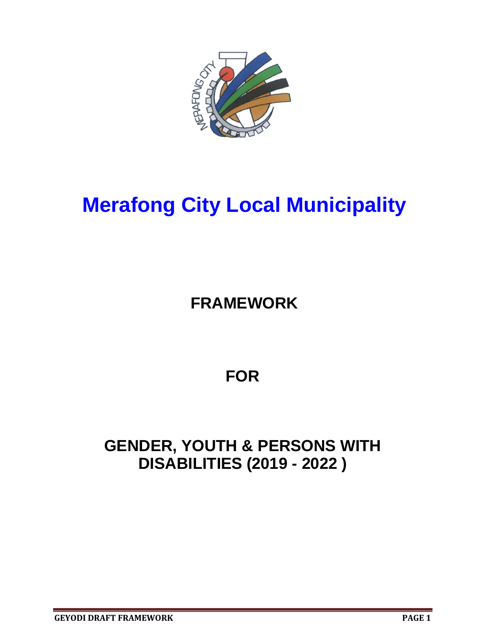

# **Merafong City Local Municipality**

## **FRAMEWORK**

## **FOR**

## **GENDER, YOUTH & PERSONS WITH DISABILITIES (2019 - 2022 )**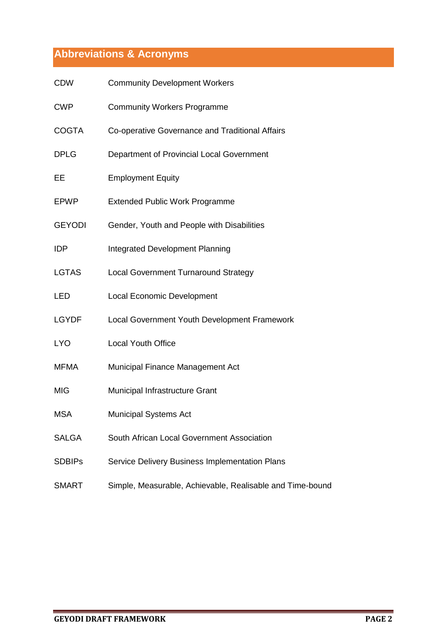## **Abbreviations & Acronyms**

| <b>CDW</b>    | <b>Community Development Workers</b>                      |
|---------------|-----------------------------------------------------------|
| <b>CWP</b>    | <b>Community Workers Programme</b>                        |
| <b>COGTA</b>  | Co-operative Governance and Traditional Affairs           |
| <b>DPLG</b>   | Department of Provincial Local Government                 |
| EE            | <b>Employment Equity</b>                                  |
| <b>EPWP</b>   | <b>Extended Public Work Programme</b>                     |
| <b>GEYODI</b> | Gender, Youth and People with Disabilities                |
| <b>IDP</b>    | <b>Integrated Development Planning</b>                    |
| <b>LGTAS</b>  | <b>Local Government Turnaround Strategy</b>               |
| <b>LED</b>    | <b>Local Economic Development</b>                         |
| <b>LGYDF</b>  | Local Government Youth Development Framework              |
| <b>LYO</b>    | <b>Local Youth Office</b>                                 |
| <b>MFMA</b>   | Municipal Finance Management Act                          |
| <b>MIG</b>    | Municipal Infrastructure Grant                            |
| <b>MSA</b>    | <b>Municipal Systems Act</b>                              |
| <b>SALGA</b>  | South African Local Government Association                |
| <b>SDBIPs</b> | Service Delivery Business Implementation Plans            |
| <b>SMART</b>  | Simple, Measurable, Achievable, Realisable and Time-bound |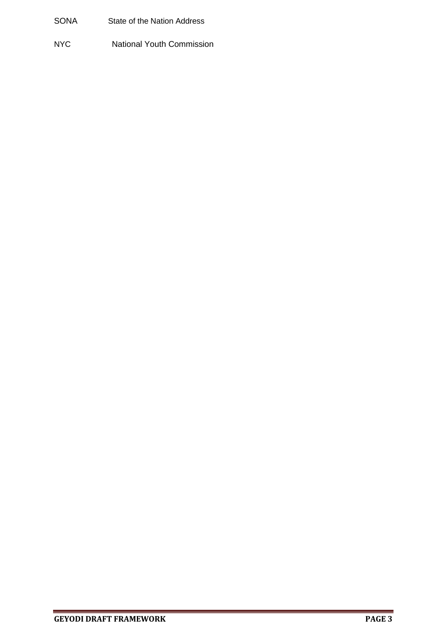- SONA State of the Nation Address
- NYC National Youth Commission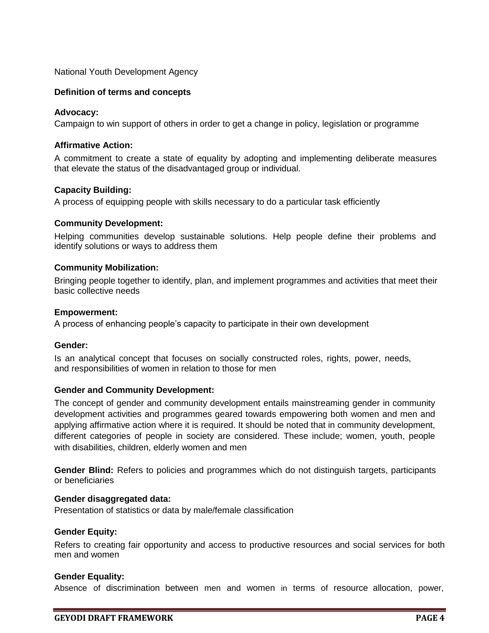National Youth Development Agency

#### **Definition of terms and concepts**

#### **Advocacy:**

Campaign to win support of others in order to get a change in policy, legislation or programme

#### **Affirmative Action:**

A commitment to create a state of equality by adopting and implementing deliberate measures that elevate the status of the disadvantaged group or individual.

#### **Capacity Building:**

A process of equipping people with skills necessary to do a particular task efficiently

#### **Community Development:**

Helping communities develop sustainable solutions. Help people define their problems and identify solutions or ways to address them

#### **Community Mobilization:**

Bringing people together to identify, plan, and implement programmes and activities that meet their basic collective needs

#### **Empowerment:**

A process of enhancing people's capacity to participate in their own development

#### **Gender:**

Is an analytical concept that focuses on socially constructed roles, rights, power, needs, and responsibilities of women in relation to those for men

#### **Gender and Community Development:**

The concept of gender and community development entails mainstreaming gender in community development activities and programmes geared towards empowering both women and men and applying affirmative action where it is required. It should be noted that in community development, different categories of people in society are considered. These include; women, youth, people with disabilities, children, elderly women and men

**Gender Blind:** Refers to policies and programmes which do not distinguish targets, participants or beneficiaries

#### **Gender disaggregated data:**

Presentation of statistics or data by male/female classification

#### **Gender Equity:**

Refers to creating fair opportunity and access to productive resources and social services for both men and women

#### **Gender Equality:**

Absence of discrimination between men and women in terms of resource allocation, power,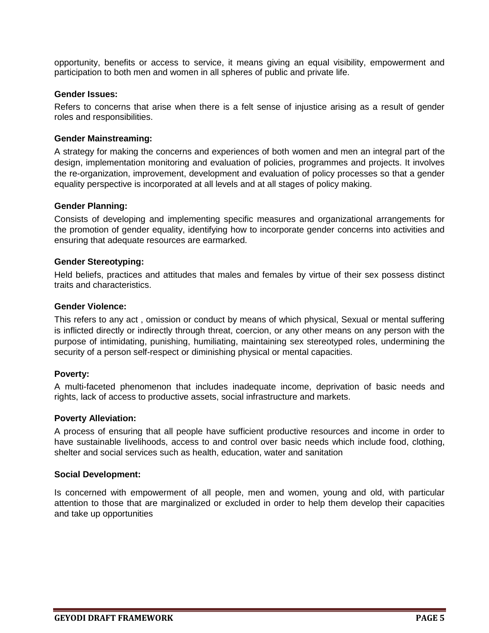opportunity, benefits or access to service, it means giving an equal visibility, empowerment and participation to both men and women in all spheres of public and private life.

#### **Gender Issues:**

Refers to concerns that arise when there is a felt sense of injustice arising as a result of gender roles and responsibilities.

#### **Gender Mainstreaming:**

A strategy for making the concerns and experiences of both women and men an integral part of the design, implementation monitoring and evaluation of policies, programmes and projects. It involves the re-organization, improvement, development and evaluation of policy processes so that a gender equality perspective is incorporated at all levels and at all stages of policy making.

#### **Gender Planning:**

Consists of developing and implementing specific measures and organizational arrangements for the promotion of gender equality, identifying how to incorporate gender concerns into activities and ensuring that adequate resources are earmarked.

#### **Gender Stereotyping:**

Held beliefs, practices and attitudes that males and females by virtue of their sex possess distinct traits and characteristics.

#### **Gender Violence:**

This refers to any act , omission or conduct by means of which physical, Sexual or mental suffering is inflicted directly or indirectly through threat, coercion, or any other means on any person with the purpose of intimidating, punishing, humiliating, maintaining sex stereotyped roles, undermining the security of a person self-respect or diminishing physical or mental capacities.

#### **Poverty:**

A multi-faceted phenomenon that includes inadequate income, deprivation of basic needs and rights, lack of access to productive assets, social infrastructure and markets.

#### **Poverty Alleviation:**

A process of ensuring that all people have sufficient productive resources and income in order to have sustainable livelihoods, access to and control over basic needs which include food, clothing, shelter and social services such as health, education, water and sanitation

#### **Social Development:**

Is concerned with empowerment of all people, men and women, young and old, with particular attention to those that are marginalized or excluded in order to help them develop their capacities and take up opportunities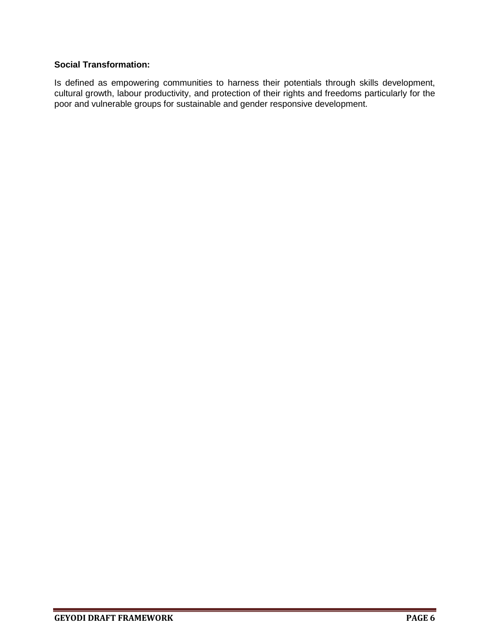#### **Social Transformation:**

Is defined as empowering communities to harness their potentials through skills development, cultural growth, labour productivity, and protection of their rights and freedoms particularly for the poor and vulnerable groups for sustainable and gender responsive development.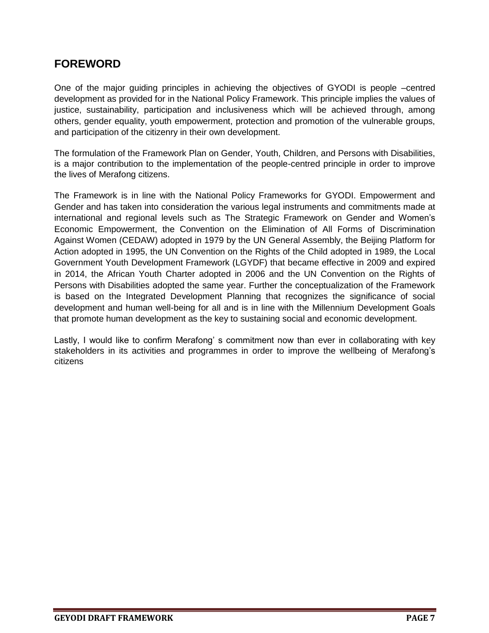## **FOREWORD**

One of the major guiding principles in achieving the objectives of GYODI is people –centred development as provided for in the National Policy Framework. This principle implies the values of justice, sustainability, participation and inclusiveness which will be achieved through, among others, gender equality, youth empowerment, protection and promotion of the vulnerable groups, and participation of the citizenry in their own development.

The formulation of the Framework Plan on Gender, Youth, Children, and Persons with Disabilities, is a major contribution to the implementation of the people-centred principle in order to improve the lives of Merafong citizens.

The Framework is in line with the National Policy Frameworks for GYODI. Empowerment and Gender and has taken into consideration the various legal instruments and commitments made at international and regional levels such as The Strategic Framework on Gender and Women's Economic Empowerment, the Convention on the Elimination of All Forms of Discrimination Against Women (CEDAW) adopted in 1979 by the UN General Assembly, the Beijing Platform for Action adopted in 1995, the UN Convention on the Rights of the Child adopted in 1989, the Local Government Youth Development Framework (LGYDF) that became effective in 2009 and expired in 2014, the African Youth Charter adopted in 2006 and the UN Convention on the Rights of Persons with Disabilities adopted the same year. Further the conceptualization of the Framework is based on the Integrated Development Planning that recognizes the significance of social development and human well-being for all and is in line with the Millennium Development Goals that promote human development as the key to sustaining social and economic development.

Lastly, I would like to confirm Merafong' s commitment now than ever in collaborating with key stakeholders in its activities and programmes in order to improve the wellbeing of Merafong's citizens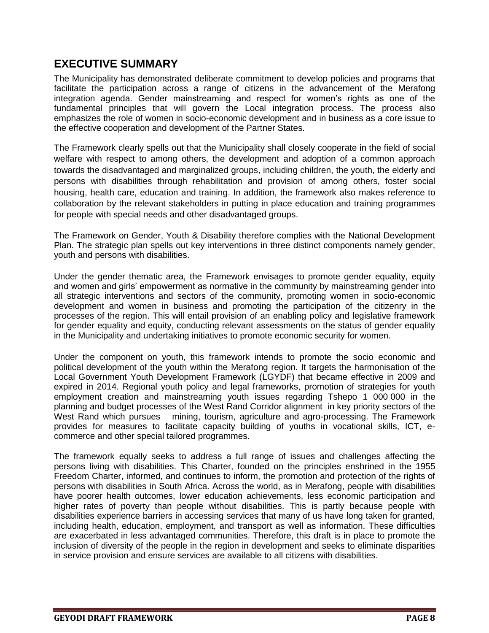## **EXECUTIVE SUMMARY**

The Municipality has demonstrated deliberate commitment to develop policies and programs that facilitate the participation across a range of citizens in the advancement of the Merafong integration agenda. Gender mainstreaming and respect for women's rights as one of the fundamental principles that will govern the Local integration process. The process also emphasizes the role of women in socio-economic development and in business as a core issue to the effective cooperation and development of the Partner States.

The Framework clearly spells out that the Municipality shall closely cooperate in the field of social welfare with respect to among others, the development and adoption of a common approach towards the disadvantaged and marginalized groups, including children, the youth, the elderly and persons with disabilities through rehabilitation and provision of among others, foster social housing, health care, education and training. In addition, the framework also makes reference to collaboration by the relevant stakeholders in putting in place education and training programmes for people with special needs and other disadvantaged groups.

The Framework on Gender, Youth & Disability therefore complies with the National Development Plan. The strategic plan spells out key interventions in three distinct components namely gender, youth and persons with disabilities.

Under the gender thematic area, the Framework envisages to promote gender equality, equity and women and girls' empowerment as normative in the community by mainstreaming gender into all strategic interventions and sectors of the community, promoting women in socio-economic development and women in business and promoting the participation of the citizenry in the processes of the region. This will entail provision of an enabling policy and legislative framework for gender equality and equity, conducting relevant assessments on the status of gender equality in the Municipality and undertaking initiatives to promote economic security for women.

Under the component on youth, this framework intends to promote the socio economic and political development of the youth within the Merafong region. It targets the harmonisation of the Local Government Youth Development Framework (LGYDF) that became effective in 2009 and expired in 2014. Regional youth policy and legal frameworks, promotion of strategies for youth employment creation and mainstreaming youth issues regarding Tshepo 1 000 000 in the planning and budget processes of the West Rand Corridor alignment in key priority sectors of the West Rand which pursues mining, tourism, agriculture and agro-processing. The Framework provides for measures to facilitate capacity building of youths in vocational skills, ICT, ecommerce and other special tailored programmes.

The framework equally seeks to address a full range of issues and challenges affecting the persons living with disabilities. This Charter, founded on the principles enshrined in the 1955 Freedom Charter, informed, and continues to inform, the promotion and protection of the rights of persons with disabilities in South Africa. Across the world, as in Merafong, people with disabilities have poorer health outcomes, lower education achievements, less economic participation and higher rates of poverty than people without disabilities. This is partly because people with disabilities experience barriers in accessing services that many of us have long taken for granted, including health, education, employment, and transport as well as information. These difficulties are exacerbated in less advantaged communities. Therefore, this draft is in place to promote the inclusion of diversity of the people in the region in development and seeks to eliminate disparities in service provision and ensure services are available to all citizens with disabilities.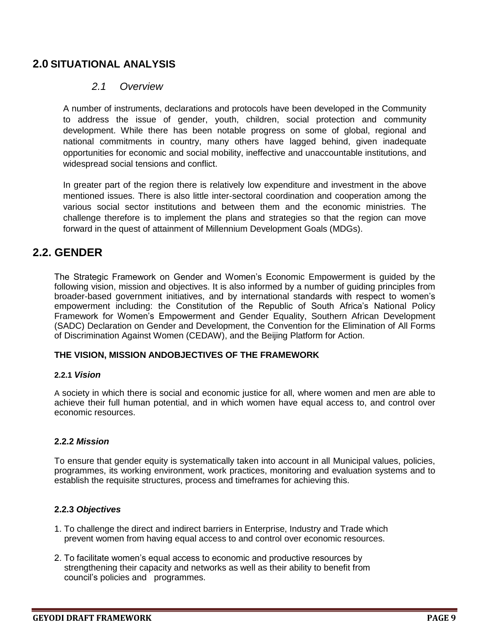## **2.0 SITUATIONAL ANALYSIS**

#### *2.1 Overview*

A number of instruments, declarations and protocols have been developed in the Community to address the issue of gender, youth, children, social protection and community development. While there has been notable progress on some of global, regional and national commitments in country, many others have lagged behind, given inadequate opportunities for economic and social mobility, ineffective and unaccountable institutions, and widespread social tensions and conflict.

In greater part of the region there is relatively low expenditure and investment in the above mentioned issues. There is also little inter-sectoral coordination and cooperation among the various social sector institutions and between them and the economic ministries. The challenge therefore is to implement the plans and strategies so that the region can move forward in the quest of attainment of Millennium Development Goals (MDGs).

## **2.2. GENDER**

The Strategic Framework on Gender and Women's Economic Empowerment is guided by the following vision, mission and objectives. It is also informed by a number of guiding principles from broader-based government initiatives, and by international standards with respect to women's empowerment including: the Constitution of the Republic of South Africa's National Policy Framework for Women's Empowerment and Gender Equality, Southern African Development (SADC) Declaration on Gender and Development, the Convention for the Elimination of All Forms of Discrimination Against Women (CEDAW), and the Beijing Platform for Action.

#### **THE VISION, MISSION ANDOBJECTIVES OF THE FRAMEWORK**

#### **2.2.1** *Vision*

A society in which there is social and economic justice for all, where women and men are able to achieve their full human potential, and in which women have equal access to, and control over economic resources.

#### **2.2.2** *Mission*

To ensure that gender equity is systematically taken into account in all Municipal values, policies, programmes, its working environment, work practices, monitoring and evaluation systems and to establish the requisite structures, process and timeframes for achieving this.

#### **2.2.3** *Objectives*

- 1. To challenge the direct and indirect barriers in Enterprise, Industry and Trade which prevent women from having equal access to and control over economic resources.
- 2. To facilitate women's equal access to economic and productive resources by strengthening their capacity and networks as well as their ability to benefit from council's policies and programmes.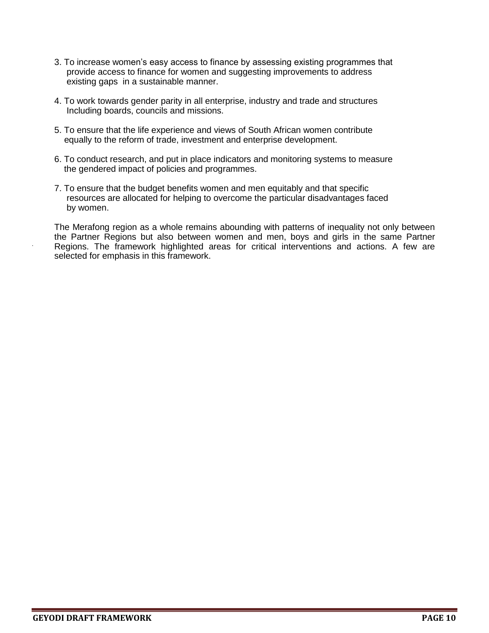- 3. To increase women's easy access to finance by assessing existing programmes that provide access to finance for women and suggesting improvements to address existing gaps in a sustainable manner.
- 4. To work towards gender parity in all enterprise, industry and trade and structures Including boards, councils and missions.
- 5. To ensure that the life experience and views of South African women contribute equally to the reform of trade, investment and enterprise development.
- 6. To conduct research, and put in place indicators and monitoring systems to measure the gendered impact of policies and programmes.
- 7. To ensure that the budget benefits women and men equitably and that specific resources are allocated for helping to overcome the particular disadvantages faced by women.

The Merafong region as a whole remains abounding with patterns of inequality not only between the Partner Regions but also between women and men, boys and girls in the same Partner Regions. The framework highlighted areas for critical interventions and actions. A few are selected for emphasis in this framework.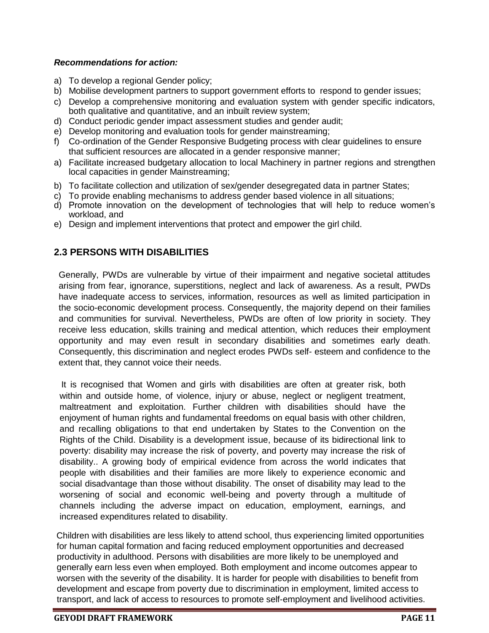#### *Recommendations for action:*

- a) To develop a regional Gender policy;
- b) Mobilise development partners to support government efforts to respond to gender issues;
- c) Develop a comprehensive monitoring and evaluation system with gender specific indicators, both qualitative and quantitative, and an inbuilt review system;
- d) Conduct periodic gender impact assessment studies and gender audit;
- e) Develop monitoring and evaluation tools for gender mainstreaming;
- f) Co-ordination of the Gender Responsive Budgeting process with clear guidelines to ensure that sufficient resources are allocated in a gender responsive manner;
- a) Facilitate increased budgetary allocation to local Machinery in partner regions and strengthen local capacities in gender Mainstreaming;
- b) To facilitate collection and utilization of sex/gender desegregated data in partner States;
- c) To provide enabling mechanisms to address gender based violence in all situations;
- d) Promote innovation on the development of technologies that will help to reduce women's workload, and
- e) Design and implement interventions that protect and empower the girl child.

### **2.3 PERSONS WITH DISABILITIES**

Generally, PWDs are vulnerable by virtue of their impairment and negative societal attitudes arising from fear, ignorance, superstitions, neglect and lack of awareness. As a result, PWDs have inadequate access to services, information, resources as well as limited participation in the socio-economic development process. Consequently, the majority depend on their families and communities for survival. Nevertheless, PWDs are often of low priority in society. They receive less education, skills training and medical attention, which reduces their employment opportunity and may even result in secondary disabilities and sometimes early death. Consequently, this discrimination and neglect erodes PWDs self- esteem and confidence to the extent that, they cannot voice their needs.

 It is recognised that Women and girls with disabilities are often at greater risk, both within and outside home, of violence, injury or abuse, neglect or negligent treatment, maltreatment and exploitation. Further children with disabilities should have the enjoyment of human rights and fundamental freedoms on equal basis with other children, and recalling obligations to that end undertaken by States to the Convention on the Rights of the Child. Disability is a development issue, because of its bidirectional link to poverty: disability may increase the risk of poverty, and poverty may increase the risk of disability.. A growing body of empirical evidence from across the world indicates that people with disabilities and their families are more likely to experience economic and social disadvantage than those without disability. The onset of disability may lead to the worsening of social and economic well-being and poverty through a multitude of channels including the adverse impact on education, employment, earnings, and increased expenditures related to disability.

Children with disabilities are less likely to attend school, thus experiencing limited opportunities for human capital formation and facing reduced employment opportunities and decreased productivity in adulthood. Persons with disabilities are more likely to be unemployed and generally earn less even when employed. Both employment and income outcomes appear to worsen with the severity of the disability. It is harder for people with disabilities to benefit from development and escape from poverty due to discrimination in employment, limited access to transport, and lack of access to resources to promote self-employment and livelihood activities.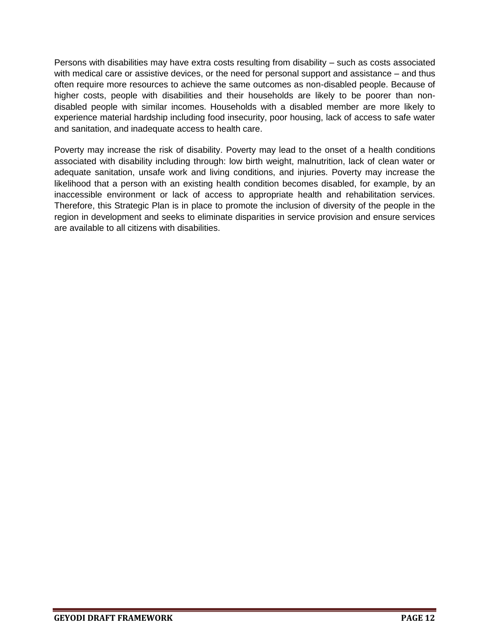Persons with disabilities may have extra costs resulting from disability – such as costs associated with medical care or assistive devices, or the need for personal support and assistance – and thus often require more resources to achieve the same outcomes as non-disabled people. Because of higher costs, people with disabilities and their households are likely to be poorer than nondisabled people with similar incomes. Households with a disabled member are more likely to experience material hardship including food insecurity, poor housing, lack of access to safe water and sanitation, and inadequate access to health care.

Poverty may increase the risk of disability. Poverty may lead to the onset of a health conditions associated with disability including through: low birth weight, malnutrition, lack of clean water or adequate sanitation, unsafe work and living conditions, and injuries. Poverty may increase the likelihood that a person with an existing health condition becomes disabled, for example, by an inaccessible environment or lack of access to appropriate health and rehabilitation services. Therefore, this Strategic Plan is in place to promote the inclusion of diversity of the people in the region in development and seeks to eliminate disparities in service provision and ensure services are available to all citizens with disabilities.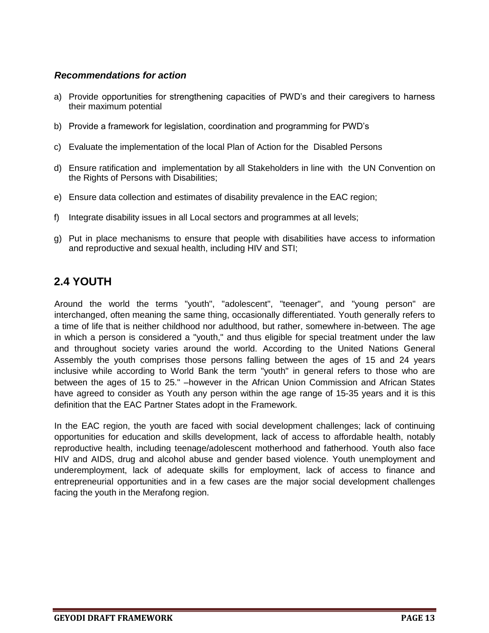#### *Recommendations for action*

- a) Provide opportunities for strengthening capacities of PWD's and their caregivers to harness their maximum potential
- b) Provide a framework for legislation, coordination and programming for PWD's
- c) Evaluate the implementation of the local Plan of Action for the Disabled Persons
- d) Ensure ratification and implementation by all Stakeholders in line with the UN Convention on the Rights of Persons with Disabilities;
- e) Ensure data collection and estimates of disability prevalence in the EAC region;
- f) Integrate disability issues in all Local sectors and programmes at all levels;
- g) Put in place mechanisms to ensure that people with disabilities have access to information and reproductive and sexual health, including HIV and STI;

## **2.4 YOUTH**

Around the world the terms "youth", "adolescent", "teenager", and "young person" are interchanged, often meaning the same thing, occasionally differentiated. Youth generally refers to a time of life that is neither childhood nor adulthood, but rather, somewhere in-between. The age in which a person is considered a "youth," and thus eligible for special treatment under the law and throughout society varies around the world. According to the United Nations General Assembly the youth comprises those persons falling between the ages of 15 and 24 years inclusive while according to World Bank the term "youth" in general refers to those who are between the ages of 15 to 25." –however in the African Union Commission and African States have agreed to consider as Youth any person within the age range of 15-35 years and it is this definition that the EAC Partner States adopt in the Framework.

In the EAC region, the youth are faced with social development challenges; lack of continuing opportunities for education and skills development, lack of access to affordable health, notably reproductive health, including teenage/adolescent motherhood and fatherhood. Youth also face HIV and AIDS, drug and alcohol abuse and gender based violence. Youth unemployment and underemployment, lack of adequate skills for employment, lack of access to finance and entrepreneurial opportunities and in a few cases are the major social development challenges facing the youth in the Merafong region.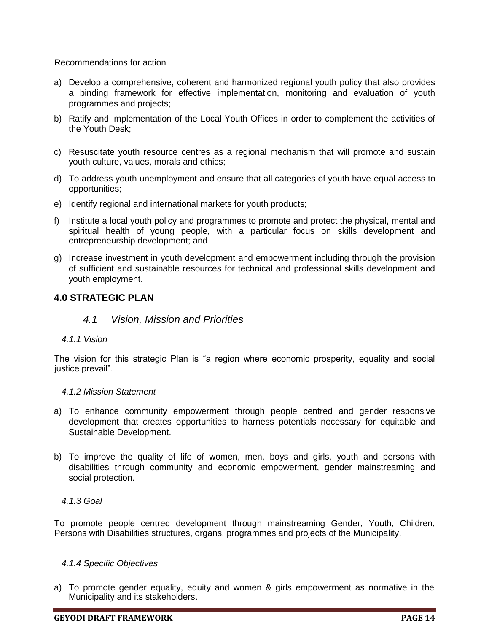Recommendations for action

- a) Develop a comprehensive, coherent and harmonized regional youth policy that also provides a binding framework for effective implementation, monitoring and evaluation of youth programmes and projects;
- b) Ratify and implementation of the Local Youth Offices in order to complement the activities of the Youth Desk;
- c) Resuscitate youth resource centres as a regional mechanism that will promote and sustain youth culture, values, morals and ethics;
- d) To address youth unemployment and ensure that all categories of youth have equal access to opportunities;
- e) Identify regional and international markets for youth products;
- f) Institute a local youth policy and programmes to promote and protect the physical, mental and spiritual health of young people, with a particular focus on skills development and entrepreneurship development; and
- g) Increase investment in youth development and empowerment including through the provision of sufficient and sustainable resources for technical and professional skills development and youth employment.

#### **4.0 STRATEGIC PLAN**

#### *4.1 Vision, Mission and Priorities*

#### *4.1.1 Vision*

The vision for this strategic Plan is "a region where economic prosperity, equality and social justice prevail".

#### *4.1.2 Mission Statement*

- a) To enhance community empowerment through people centred and gender responsive development that creates opportunities to harness potentials necessary for equitable and Sustainable Development.
- b) To improve the quality of life of women, men, boys and girls, youth and persons with disabilities through community and economic empowerment, gender mainstreaming and social protection.

#### *4.1.3 Goal*

To promote people centred development through mainstreaming Gender, Youth, Children, Persons with Disabilities structures, organs, programmes and projects of the Municipality.

#### *4.1.4 Specific Objectives*

a) To promote gender equality, equity and women & girls empowerment as normative in the Municipality and its stakeholders.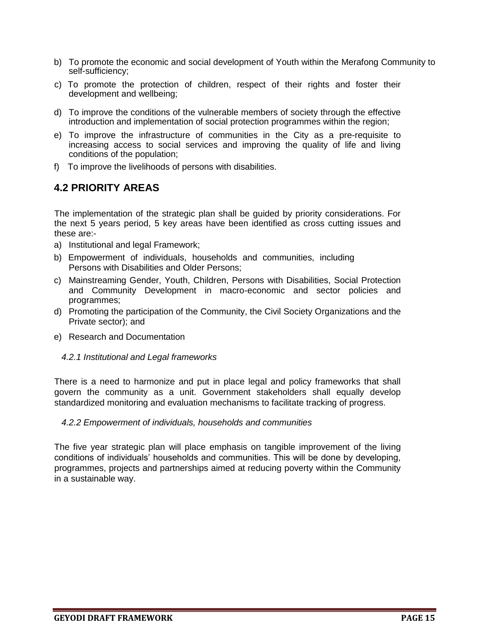- b) To promote the economic and social development of Youth within the Merafong Community to self-sufficiency;
- c) To promote the protection of children, respect of their rights and foster their development and wellbeing;
- d) To improve the conditions of the vulnerable members of society through the effective introduction and implementation of social protection programmes within the region;
- e) To improve the infrastructure of communities in the City as a pre-requisite to increasing access to social services and improving the quality of life and living conditions of the population;
- f) To improve the livelihoods of persons with disabilities.

## **4.2 PRIORITY AREAS**

The implementation of the strategic plan shall be guided by priority considerations. For the next 5 years period, 5 key areas have been identified as cross cutting issues and these are:-

- a) Institutional and legal Framework;
- b) Empowerment of individuals, households and communities, including Persons with Disabilities and Older Persons;
- c) Mainstreaming Gender, Youth, Children, Persons with Disabilities, Social Protection and Community Development in macro-economic and sector policies and programmes;
- d) Promoting the participation of the Community, the Civil Society Organizations and the Private sector); and
- e) Research and Documentation
	- *4.2.1 Institutional and Legal frameworks*

There is a need to harmonize and put in place legal and policy frameworks that shall govern the community as a unit. Government stakeholders shall equally develop standardized monitoring and evaluation mechanisms to facilitate tracking of progress.

#### *4.2.2 Empowerment of individuals, households and communities*

The five year strategic plan will place emphasis on tangible improvement of the living conditions of individuals' households and communities. This will be done by developing, programmes, projects and partnerships aimed at reducing poverty within the Community in a sustainable way.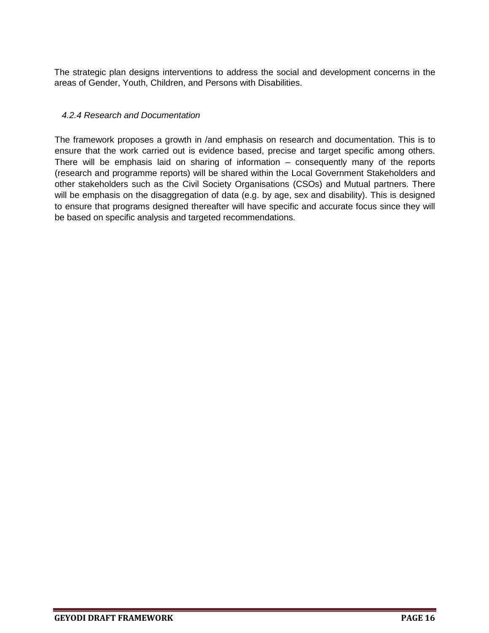The strategic plan designs interventions to address the social and development concerns in the areas of Gender, Youth, Children, and Persons with Disabilities.

#### *4.2.4 Research and Documentation*

The framework proposes a growth in /and emphasis on research and documentation. This is to ensure that the work carried out is evidence based, precise and target specific among others. There will be emphasis laid on sharing of information – consequently many of the reports (research and programme reports) will be shared within the Local Government Stakeholders and other stakeholders such as the Civil Society Organisations (CSOs) and Mutual partners. There will be emphasis on the disaggregation of data (e.g. by age, sex and disability). This is designed to ensure that programs designed thereafter will have specific and accurate focus since they will be based on specific analysis and targeted recommendations.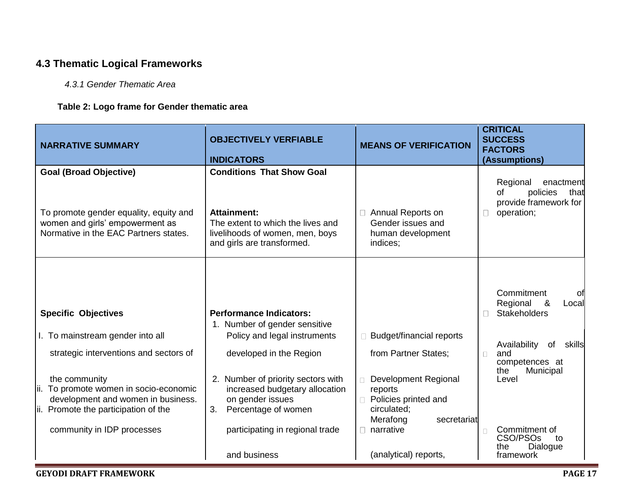## **4.3 Thematic Logical Frameworks**

#### *4.3.1 Gender Thematic Area*

#### **Table 2: Logo frame for Gender thematic area**

| <b>NARRATIVE SUMMARY</b>                                                                                                                                            | <b>OBJECTIVELY VERFIABLE</b>                                                                                                                                             | <b>MEANS OF VERIFICATION</b>                                                                                                                 | <b>CRITICAL</b><br><b>SUCCESS</b><br><b>FACTORS</b>                                                                        |
|---------------------------------------------------------------------------------------------------------------------------------------------------------------------|--------------------------------------------------------------------------------------------------------------------------------------------------------------------------|----------------------------------------------------------------------------------------------------------------------------------------------|----------------------------------------------------------------------------------------------------------------------------|
|                                                                                                                                                                     | <b>INDICATORS</b>                                                                                                                                                        |                                                                                                                                              | (Assumptions)                                                                                                              |
| <b>Goal (Broad Objective)</b><br>To promote gender equality, equity and<br>women and girls' empowerment as<br>Normative in the EAC Partners states.                 | <b>Conditions That Show Goal</b><br><b>Attainment:</b><br>The extent to which the lives and<br>livelihoods of women, men, boys<br>and girls are transformed.             | <b>Annual Reports on</b><br>Gender issues and<br>human development<br>indices;                                                               | Regional<br>enactment<br>policies<br>of<br>that<br>provide framework for<br>operation;                                     |
| <b>Specific Objectives</b><br>I. To mainstream gender into all<br>strategic interventions and sectors of                                                            | <b>Performance Indicators:</b><br>1. Number of gender sensitive<br>Policy and legal instruments<br>developed in the Region                                               | <b>Budget/financial reports</b><br>from Partner States;                                                                                      | Commitment<br>Οt<br>Regional<br>&<br>Local<br><b>Stakeholders</b><br>Availability<br>of<br>skills<br>and<br>$\Box$         |
| the community<br>ii. To promote women in socio-economic<br>development and women in business.<br>ii. Promote the participation of the<br>community in IDP processes | 2. Number of priority sectors with<br>increased budgetary allocation<br>on gender issues<br>Percentage of women<br>3.<br>participating in regional trade<br>and business | Development Regional<br>reports<br>Policies printed and<br>circulated;<br>Merafong<br>secretariat<br>narrative<br>П<br>(analytical) reports, | competences at<br>Municipal<br>the<br>Level<br>Commitment of<br>CSO/PSO <sub>s</sub><br>to<br>Dialogue<br>the<br>framework |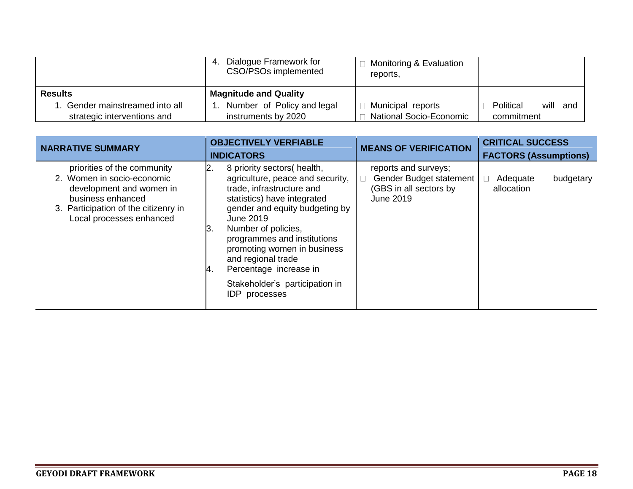|                              | Dialogue Framework for<br>-4.<br>CSO/PSOs implemented | □ Monitoring & Evaluation<br>reports, |                       |
|------------------------------|-------------------------------------------------------|---------------------------------------|-----------------------|
| <b>Results</b>               | <b>Magnitude and Quality</b>                          |                                       |                       |
| Gender mainstreamed into all | Number of Policy and legal                            | $\Box$ Municipal reports              | will and<br>Political |
| strategic interventions and  | instruments by 2020                                   | □ National Socio-Economic             | commitment            |

| <b>NARRATIVE SUMMARY</b>                                                                                                                                                       | <b>OBJECTIVELY VERFIABLE</b>                                                                                                                                                                                                                                                                                                                                                                  | <b>MEANS OF VERIFICATION</b>                                                           | <b>CRITICAL SUCCESS</b>             |
|--------------------------------------------------------------------------------------------------------------------------------------------------------------------------------|-----------------------------------------------------------------------------------------------------------------------------------------------------------------------------------------------------------------------------------------------------------------------------------------------------------------------------------------------------------------------------------------------|----------------------------------------------------------------------------------------|-------------------------------------|
|                                                                                                                                                                                | <b>INDICATORS</b>                                                                                                                                                                                                                                                                                                                                                                             |                                                                                        | <b>FACTORS (Assumptions)</b>        |
| priorities of the community<br>2. Women in socio-economic<br>development and women in<br>business enhanced<br>3. Participation of the citizenry in<br>Local processes enhanced | 8 priority sectors (health,<br>2.<br>agriculture, peace and security,<br>trade, infrastructure and<br>statistics) have integrated<br>gender and equity budgeting by<br>June 2019<br>Number of policies,<br>ΙЗ.<br>programmes and institutions<br>promoting women in business<br>and regional trade<br>Percentage increase in<br>14.<br>Stakeholder's participation in<br><b>IDP</b> processes | reports and surveys;<br>Gender Budget statement<br>(GBS in all sectors by<br>June 2019 | Adequate<br>budgetary<br>allocation |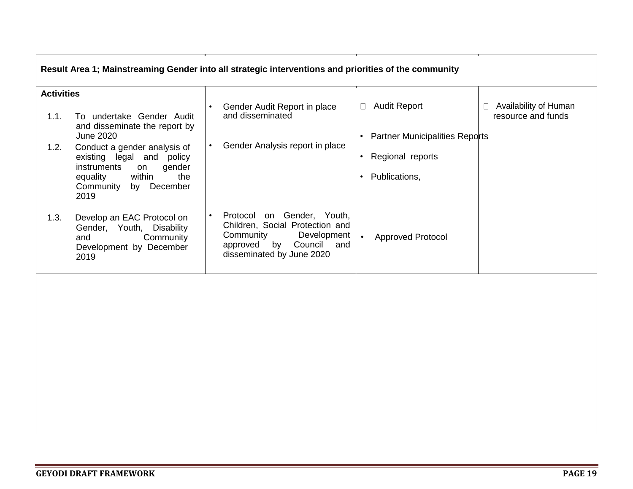| Result Area 1; Mainstreaming Gender into all strategic interventions and priorities of the community |                                                                                                                          |  |                                                                                                                                                                  |  |                                       |                                             |
|------------------------------------------------------------------------------------------------------|--------------------------------------------------------------------------------------------------------------------------|--|------------------------------------------------------------------------------------------------------------------------------------------------------------------|--|---------------------------------------|---------------------------------------------|
| <b>Activities</b>                                                                                    |                                                                                                                          |  |                                                                                                                                                                  |  |                                       |                                             |
| 1.1.                                                                                                 | To undertake Gender Audit<br>and disseminate the report by                                                               |  | Gender Audit Report in place<br>and disseminated                                                                                                                 |  | <b>Audit Report</b>                   | Availability of Human<br>resource and funds |
|                                                                                                      | June 2020                                                                                                                |  |                                                                                                                                                                  |  | <b>Partner Municipalities Reports</b> |                                             |
| 1.2.                                                                                                 | Conduct a gender analysis of<br>existing legal<br>and<br>policy<br>instruments<br>gender<br>on                           |  | Gender Analysis report in place                                                                                                                                  |  | Regional reports                      |                                             |
|                                                                                                      | within<br>equality<br>the<br>December<br>Community<br>by<br>2019                                                         |  |                                                                                                                                                                  |  | Publications,                         |                                             |
| 1.3.                                                                                                 | Develop an EAC Protocol on<br><b>Disability</b><br>Gender, Youth,<br>Community<br>and<br>Development by December<br>2019 |  | Gender, Youth,<br>Protocol<br>on<br>Children, Social Protection and<br>Development<br>Community<br>by<br>approved<br>Council<br>and<br>disseminated by June 2020 |  | <b>Approved Protocol</b>              |                                             |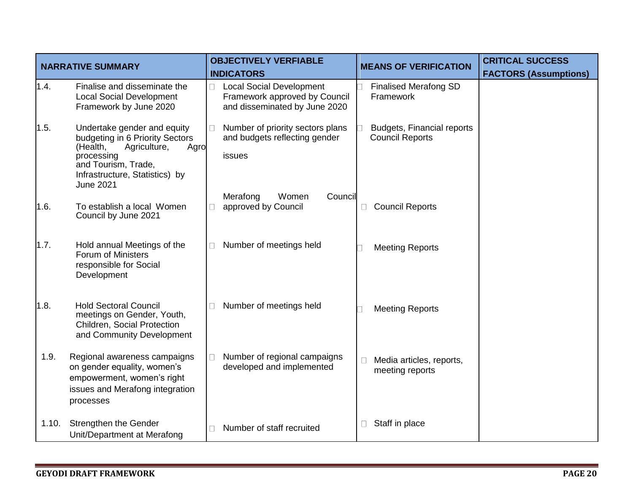| <b>NARRATIVE SUMMARY</b> |                                                                                                                                                                                               | <b>OBJECTIVELY VERFIABLE</b>                                                                      | <b>MEANS OF VERIFICATION</b>                                | <b>CRITICAL SUCCESS</b>      |
|--------------------------|-----------------------------------------------------------------------------------------------------------------------------------------------------------------------------------------------|---------------------------------------------------------------------------------------------------|-------------------------------------------------------------|------------------------------|
|                          |                                                                                                                                                                                               | <b>INDICATORS</b>                                                                                 |                                                             | <b>FACTORS (Assumptions)</b> |
| 1.4.                     | Finalise and disseminate the<br><b>Local Social Development</b><br>Framework by June 2020                                                                                                     | <b>Local Social Development</b><br>Framework approved by Council<br>and disseminated by June 2020 | <b>Finalised Merafong SD</b><br>Framework                   |                              |
| 1.5.                     | Undertake gender and equity<br>budgeting in 6 Priority Sectors<br>(Health,<br>Agriculture,<br>Agro<br>processing<br>and Tourism, Trade,<br>Infrastructure, Statistics) by<br><b>June 2021</b> | Number of priority sectors plans<br>П<br>and budgets reflecting gender<br>issues                  | <b>Budgets, Financial reports</b><br><b>Council Reports</b> |                              |
| 1.6.                     | To establish a local Women<br>Council by June 2021                                                                                                                                            | Merafong<br>Women<br>Council<br>approved by Council                                               | <b>Council Reports</b>                                      |                              |
| 1.7.                     | Hold annual Meetings of the<br>Forum of Ministers<br>responsible for Social<br>Development                                                                                                    | Number of meetings held                                                                           | <b>Meeting Reports</b>                                      |                              |
| 1.8.                     | <b>Hold Sectoral Council</b><br>meetings on Gender, Youth,<br>Children, Social Protection<br>and Community Development                                                                        | Number of meetings held<br>$\vert \ \ \vert$                                                      | <b>Meeting Reports</b>                                      |                              |
| 1.9.                     | Regional awareness campaigns<br>on gender equality, women's<br>empowerment, women's right<br>issues and Merafong integration<br>processes                                                     | Number of regional campaigns<br>П<br>developed and implemented                                    | Media articles, reports,<br>meeting reports                 |                              |
| 1.10.                    | Strengthen the Gender<br>Unit/Department at Merafong                                                                                                                                          | Number of staff recruited                                                                         | Staff in place                                              |                              |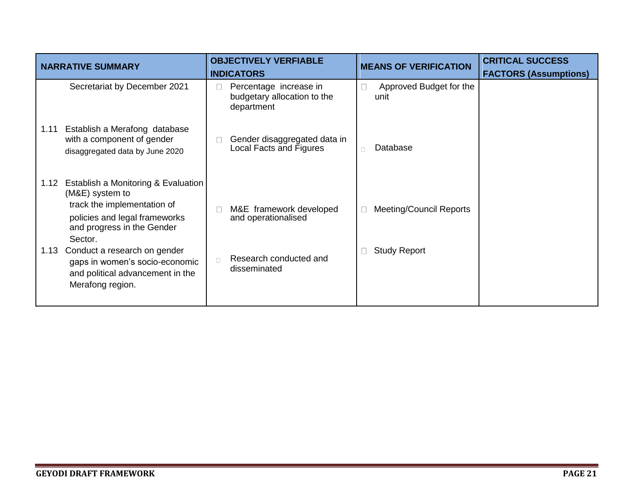|              | <b>NARRATIVE SUMMARY</b>                                                                                                                                                                                                                                                                  | <b>OBJECTIVELY VERFIABLE</b><br><b>INDICATORS</b>                                                  | <b>MEANS OF VERIFICATION</b>                          | <b>CRITICAL SUCCESS</b><br><b>FACTORS (Assumptions)</b> |
|--------------|-------------------------------------------------------------------------------------------------------------------------------------------------------------------------------------------------------------------------------------------------------------------------------------------|----------------------------------------------------------------------------------------------------|-------------------------------------------------------|---------------------------------------------------------|
|              | Secretariat by December 2021                                                                                                                                                                                                                                                              | Percentage increase in<br>П<br>$\perp$<br>budgetary allocation to the<br>department                | Approved Budget for the<br>unit                       |                                                         |
| 1.11         | Establish a Merafong database<br>with a component of gender<br>disaggregated data by June 2020                                                                                                                                                                                            | Gender disaggregated data in<br>$\mathbf{L}$<br>Local Facts and Figures<br>$\Box$                  | Database                                              |                                                         |
| 1.12<br>1.13 | Establish a Monitoring & Evaluation<br>(M&E) system to<br>track the implementation of<br>policies and legal frameworks<br>and progress in the Gender<br>Sector.<br>Conduct a research on gender<br>gaps in women's socio-economic<br>and political advancement in the<br>Merafong region. | M&E framework developed<br>and operationalised<br>Research conducted and<br>$\Box$<br>disseminated | <b>Meeting/Council Reports</b><br><b>Study Report</b> |                                                         |
|              |                                                                                                                                                                                                                                                                                           |                                                                                                    |                                                       |                                                         |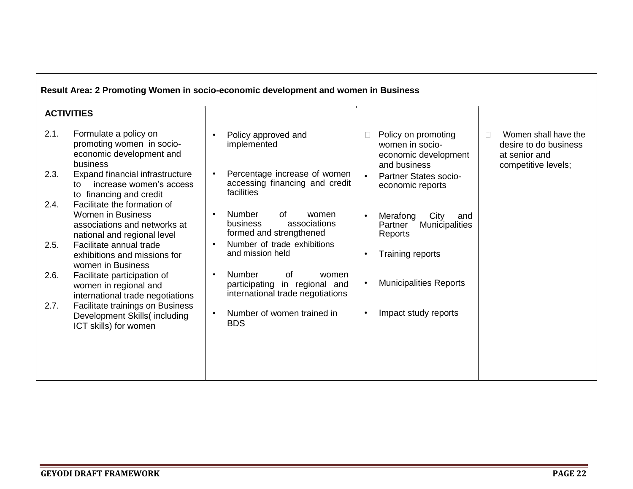| Result Area: 2 Promoting Women in socio-economic development and women in Business |                                                                                                                        |                                                                                                                   |                                                                                                                                                                                              |  |  |
|------------------------------------------------------------------------------------|------------------------------------------------------------------------------------------------------------------------|-------------------------------------------------------------------------------------------------------------------|----------------------------------------------------------------------------------------------------------------------------------------------------------------------------------------------|--|--|
|                                                                                    | <b>ACTIVITIES</b>                                                                                                      |                                                                                                                   |                                                                                                                                                                                              |  |  |
| 2.1.                                                                               | Formulate a policy on<br>promoting women in socio-<br>economic development and<br>business                             | Policy approved and<br>$\bullet$<br>implemented                                                                   | Women shall have the<br>Policy on promoting<br>$\Box$<br>$\perp$<br>women in socio-<br>desire to do business<br>economic development<br>at senior and<br>and business<br>competitive levels; |  |  |
| 2.3.                                                                               | Expand financial infrastructure<br>increase women's access<br>to<br>to financing and credit                            | Percentage increase of women<br>$\bullet$<br>accessing financing and credit<br>facilities                         | <b>Partner States socio-</b><br>economic reports                                                                                                                                             |  |  |
| 2.4.                                                                               | Facilitate the formation of<br><b>Women in Business</b><br>associations and networks at<br>national and regional level | <b>Number</b><br>of<br>$\bullet$<br>women<br>business<br>associations<br>formed and strengthened                  | Merafong<br>City<br>and<br><b>Municipalities</b><br>Partner<br>Reports                                                                                                                       |  |  |
| 2.5.                                                                               | Facilitate annual trade<br>exhibitions and missions for<br>women in Business                                           | Number of trade exhibitions<br>and mission held                                                                   | Training reports                                                                                                                                                                             |  |  |
| 2.6.                                                                               | Facilitate participation of<br>women in regional and<br>international trade negotiations                               | <b>Number</b><br>0f<br>$\bullet$<br>women<br>in regional and<br>participating<br>international trade negotiations | <b>Municipalities Reports</b>                                                                                                                                                                |  |  |
| 2.7.                                                                               | Facilitate trainings on Business<br>Development Skills(including<br>ICT skills) for women                              | Number of women trained in<br>$\bullet$<br><b>BDS</b>                                                             | Impact study reports                                                                                                                                                                         |  |  |
|                                                                                    |                                                                                                                        |                                                                                                                   |                                                                                                                                                                                              |  |  |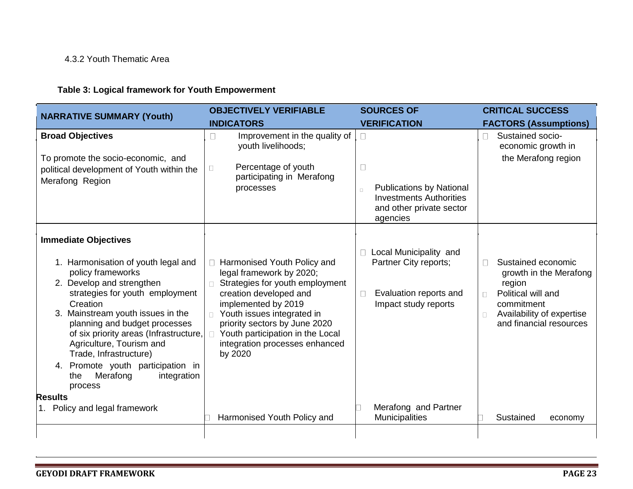#### 4.3.2 Youth Thematic Area

## **Table 3: Logical framework for Youth Empowerment**

| <b>NARRATIVE SUMMARY (Youth)</b>                                                                                                                                                                                                                                                                                                                                                                                                                                                  | <b>OBJECTIVELY VERIFIABLE</b>                                                                                                                                                                                                                                                                                              | <b>SOURCES OF</b>                                                                                                                                  | <b>CRITICAL SUCCESS</b>                                                                                                                                                                             |
|-----------------------------------------------------------------------------------------------------------------------------------------------------------------------------------------------------------------------------------------------------------------------------------------------------------------------------------------------------------------------------------------------------------------------------------------------------------------------------------|----------------------------------------------------------------------------------------------------------------------------------------------------------------------------------------------------------------------------------------------------------------------------------------------------------------------------|----------------------------------------------------------------------------------------------------------------------------------------------------|-----------------------------------------------------------------------------------------------------------------------------------------------------------------------------------------------------|
|                                                                                                                                                                                                                                                                                                                                                                                                                                                                                   | <b>INDICATORS</b>                                                                                                                                                                                                                                                                                                          | <b>VERIFICATION</b>                                                                                                                                | <b>FACTORS (Assumptions)</b>                                                                                                                                                                        |
| <b>Broad Objectives</b><br>To promote the socio-economic, and<br>political development of Youth within the<br>Merafong Region                                                                                                                                                                                                                                                                                                                                                     | Improvement in the quality of<br>П<br>youth livelihoods;<br>Percentage of youth<br>$\Box$<br>participating in Merafong<br>processes                                                                                                                                                                                        | <b>Publications by National</b><br>$\Box$<br><b>Investments Authorities</b><br>and other private sector<br>agencies                                | Sustained socio-<br>economic growth in<br>the Merafong region                                                                                                                                       |
| <b>Immediate Objectives</b><br>1. Harmonisation of youth legal and<br>policy frameworks<br>2. Develop and strengthen<br>strategies for youth employment<br>Creation<br>3. Mainstream youth issues in the<br>planning and budget processes<br>of six priority areas (Infrastructure,<br>Agriculture, Tourism and<br>Trade, Infrastructure)<br>Promote youth participation in<br>4.<br>Merafong<br>integration<br>the<br>process<br><b>Results</b><br>1. Policy and legal framework | Harmonised Youth Policy and<br>legal framework by 2020;<br>Strategies for youth employment<br>creation developed and<br>implemented by 2019<br>Youth issues integrated in<br>priority sectors by June 2020<br>Youth participation in the Local<br>integration processes enhanced<br>by 2020<br>Harmonised Youth Policy and | Local Municipality and<br>Partner City reports;<br>Evaluation reports and<br>Impact study reports<br>Merafong and Partner<br><b>Municipalities</b> | Sustained economic<br>П<br>growth in the Merafong<br>region<br>Political will and<br>$\Box$<br>commitment<br>Availability of expertise<br>$\Box$<br>and financial resources<br>Sustained<br>economy |
|                                                                                                                                                                                                                                                                                                                                                                                                                                                                                   |                                                                                                                                                                                                                                                                                                                            |                                                                                                                                                    |                                                                                                                                                                                                     |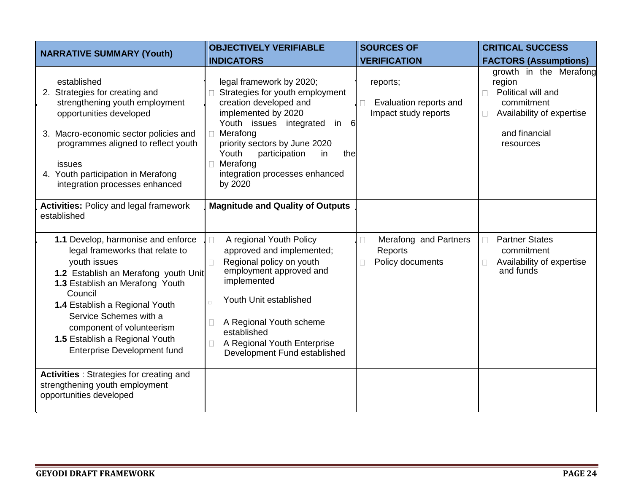| <b>NARRATIVE SUMMARY (Youth)</b>                                                                                                                                                                                                                                                                                                             | <b>OBJECTIVELY VERIFIABLE</b>                                                                                                                                                                                                                                                                | <b>SOURCES OF</b>                                                   | <b>CRITICAL SUCCESS</b>                                                                                                         |
|----------------------------------------------------------------------------------------------------------------------------------------------------------------------------------------------------------------------------------------------------------------------------------------------------------------------------------------------|----------------------------------------------------------------------------------------------------------------------------------------------------------------------------------------------------------------------------------------------------------------------------------------------|---------------------------------------------------------------------|---------------------------------------------------------------------------------------------------------------------------------|
|                                                                                                                                                                                                                                                                                                                                              | <b>INDICATORS</b>                                                                                                                                                                                                                                                                            | <b>VERIFICATION</b>                                                 | <b>FACTORS (Assumptions)</b>                                                                                                    |
| established<br>2. Strategies for creating and<br>strengthening youth employment<br>opportunities developed<br>3. Macro-economic sector policies and<br>programmes aligned to reflect youth<br>issues<br>4. Youth participation in Merafong<br>integration processes enhanced                                                                 | legal framework by 2020;<br>Strategies for youth employment<br>creation developed and<br>implemented by 2020<br>Youth issues integrated<br>in 6<br>Merafong<br>priority sectors by June 2020<br>Youth<br>participation<br>the<br>in<br>Merafong<br>integration processes enhanced<br>by 2020 | reports;<br>Evaluation reports and<br>П<br>Impact study reports     | growth in the Merafong<br>region<br>Political will and<br>commitment<br>Availability of expertise<br>and financial<br>resources |
| <b>Activities: Policy and legal framework</b><br>established                                                                                                                                                                                                                                                                                 | <b>Magnitude and Quality of Outputs</b>                                                                                                                                                                                                                                                      |                                                                     |                                                                                                                                 |
| 1.1 Develop, harmonise and enforce<br>legal frameworks that relate to<br>youth issues<br>1.2 Establish an Merafong youth Unit<br>1.3 Establish an Merafong Youth<br>Council<br>1.4 Establish a Regional Youth<br>Service Schemes with a<br>component of volunteerism<br>1.5 Establish a Regional Youth<br><b>Enterprise Development fund</b> | A regional Youth Policy<br>$\Box$<br>approved and implemented;<br>Regional policy on youth<br>$\Box$<br>employment approved and<br>implemented<br>Youth Unit established<br>A Regional Youth scheme<br>established<br>A Regional Youth Enterprise<br>Development Fund established            | Merafong and Partners<br>□<br>Reports<br>Policy documents<br>$\Box$ | <b>Partner States</b><br>$\Box$<br>commitment<br>Availability of expertise<br>and funds                                         |
| <b>Activities</b> : Strategies for creating and<br>strengthening youth employment<br>opportunities developed                                                                                                                                                                                                                                 |                                                                                                                                                                                                                                                                                              |                                                                     |                                                                                                                                 |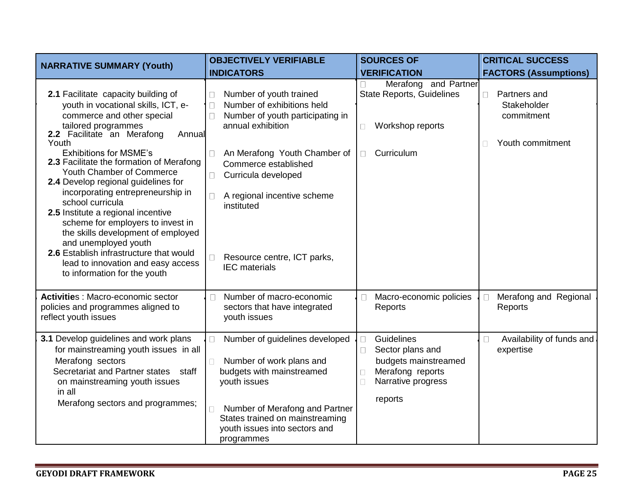| <b>NARRATIVE SUMMARY (Youth)</b>                                                                                                                                                                                                                                                                                                                                                                                                                                 | <b>OBJECTIVELY VERIFIABLE</b>                                                                                                                                                                                                              | <b>SOURCES OF</b>                                                                                                               | <b>CRITICAL SUCCESS</b>                                                      |
|------------------------------------------------------------------------------------------------------------------------------------------------------------------------------------------------------------------------------------------------------------------------------------------------------------------------------------------------------------------------------------------------------------------------------------------------------------------|--------------------------------------------------------------------------------------------------------------------------------------------------------------------------------------------------------------------------------------------|---------------------------------------------------------------------------------------------------------------------------------|------------------------------------------------------------------------------|
|                                                                                                                                                                                                                                                                                                                                                                                                                                                                  | <b>INDICATORS</b>                                                                                                                                                                                                                          | <b>VERIFICATION</b>                                                                                                             | <b>FACTORS (Assumptions)</b>                                                 |
| 2.1 Facilitate capacity building of<br>youth in vocational skills, ICT, e-<br>commerce and other special<br>tailored programmes<br>2.2 Facilitate an Merafong<br>Annual<br>Youth                                                                                                                                                                                                                                                                                 | Number of youth trained<br>П<br>Number of exhibitions held<br>$\Box$<br>Number of youth participating in<br>$\Box$<br>annual exhibition                                                                                                    | Merafong and Partner<br><b>State Reports, Guidelines</b><br>Workshop reports<br>$\Box$                                          | Partners and<br>П<br>Stakeholder<br>commitment<br>Youth commitment<br>$\Box$ |
| <b>Exhibitions for MSME's</b><br>2.3 Facilitate the formation of Merafong<br>Youth Chamber of Commerce<br>2.4 Develop regional guidelines for<br>incorporating entrepreneurship in<br>school curricula<br>2.5 Institute a regional incentive<br>scheme for employers to invest in<br>the skills development of employed<br>and unemployed youth<br>2.6 Establish infrastructure that would<br>lead to innovation and easy access<br>to information for the youth | An Merafong Youth Chamber of<br>$\perp$<br>Commerce established<br>Curricula developed<br>П<br>A regional incentive scheme<br>П<br>instituted<br>Resource centre, ICT parks,<br><b>IEC</b> materials                                       | Curriculum<br>$\Box$                                                                                                            |                                                                              |
| Activities : Macro-economic sector<br>policies and programmes aligned to<br>reflect youth issues                                                                                                                                                                                                                                                                                                                                                                 | Number of macro-economic<br>П<br>sectors that have integrated<br>youth issues                                                                                                                                                              | Macro-economic policies<br>$\Box$<br>Reports                                                                                    | Merafong and Regional<br>Reports                                             |
| 3.1 Develop guidelines and work plans<br>for mainstreaming youth issues in all<br>Merafong sectors<br>Secretariat and Partner states staff<br>on mainstreaming youth issues<br>in all<br>Merafong sectors and programmes;                                                                                                                                                                                                                                        | Number of guidelines developed<br>П<br>Number of work plans and<br>$\Box$<br>budgets with mainstreamed<br>youth issues<br>Number of Merafong and Partner<br>States trained on mainstreaming<br>youth issues into sectors and<br>programmes | Guidelines<br>$\Box$<br>Sector plans and<br>budgets mainstreamed<br>Merafong reports<br>Narrative progress<br>$\Box$<br>reports | Availability of funds and<br>$\Box$<br>expertise                             |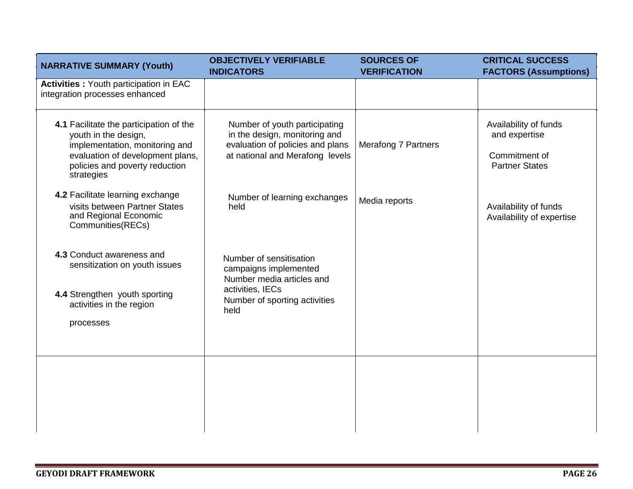| <b>NARRATIVE SUMMARY (Youth)</b>                                                                                                                                                      | <b>OBJECTIVELY VERIFIABLE</b><br><b>INDICATORS</b>                                                                                         | <b>SOURCES OF</b><br><b>VERIFICATION</b> | <b>CRITICAL SUCCESS</b><br><b>FACTORS (Assumptions)</b>                          |
|---------------------------------------------------------------------------------------------------------------------------------------------------------------------------------------|--------------------------------------------------------------------------------------------------------------------------------------------|------------------------------------------|----------------------------------------------------------------------------------|
| <b>Activities: Youth participation in EAC</b><br>integration processes enhanced                                                                                                       |                                                                                                                                            |                                          |                                                                                  |
| 4.1 Facilitate the participation of the<br>youth in the design,<br>implementation, monitoring and<br>evaluation of development plans,<br>policies and poverty reduction<br>strategies | Number of youth participating<br>in the design, monitoring and<br>evaluation of policies and plans<br>at national and Merafong levels      | <b>Merafong 7 Partners</b>               | Availability of funds<br>and expertise<br>Commitment of<br><b>Partner States</b> |
| 4.2 Facilitate learning exchange<br>visits between Partner States<br>and Regional Economic<br>Communities(RECs)                                                                       | Number of learning exchanges<br>held                                                                                                       | Media reports                            | Availability of funds<br>Availability of expertise                               |
| 4.3 Conduct awareness and<br>sensitization on youth issues<br>4.4 Strengthen youth sporting<br>activities in the region<br>processes                                                  | Number of sensitisation<br>campaigns implemented<br>Number media articles and<br>activities, IECs<br>Number of sporting activities<br>held |                                          |                                                                                  |
|                                                                                                                                                                                       |                                                                                                                                            |                                          |                                                                                  |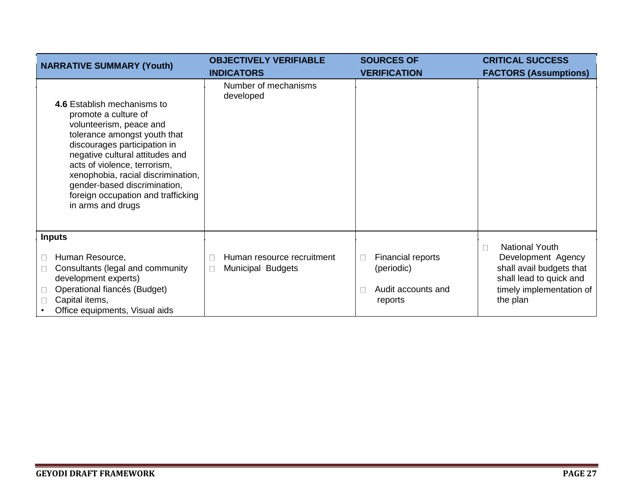| <b>NARRATIVE SUMMARY (Youth)</b>                                                                                                                                                                                                                                                                                                                   | <b>OBJECTIVELY VERIFIABLE</b>                                    | <b>SOURCES OF</b>                                                     | <b>CRITICAL SUCCESS</b>                                                                                           |
|----------------------------------------------------------------------------------------------------------------------------------------------------------------------------------------------------------------------------------------------------------------------------------------------------------------------------------------------------|------------------------------------------------------------------|-----------------------------------------------------------------------|-------------------------------------------------------------------------------------------------------------------|
|                                                                                                                                                                                                                                                                                                                                                    | <b>INDICATORS</b>                                                | <b>VERIFICATION</b>                                                   | <b>FACTORS (Assumptions)</b>                                                                                      |
| 4.6 Establish mechanisms to<br>promote a culture of<br>volunteerism, peace and<br>tolerance amongst youth that<br>discourages participation in<br>negative cultural attitudes and<br>acts of violence, terrorism,<br>xenophobia, racial discrimination,<br>gender-based discrimination,<br>foreign occupation and trafficking<br>in arms and drugs | Number of mechanisms<br>developed                                |                                                                       |                                                                                                                   |
| <b>Inputs</b>                                                                                                                                                                                                                                                                                                                                      |                                                                  |                                                                       | <b>National Youth</b>                                                                                             |
| Human Resource,<br>Consultants (legal and community<br>development experts)<br>Operational fiancés (Budget)<br>Capital items,<br>Office equipments, Visual aids                                                                                                                                                                                    | Human resource recruitment<br><b>Municipal Budgets</b><br>$\Box$ | Financial reports<br>П<br>(periodic)<br>Audit accounts and<br>reports | Development Agency<br>shall avail budgets that<br>shall lead to quick and<br>timely implementation of<br>the plan |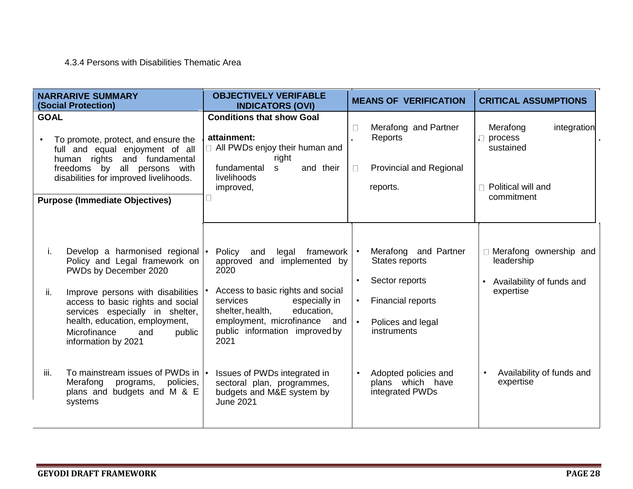### 4.3.4 Persons with Disabilities Thematic Area

| <b>NARRARIVE SUMMARY</b><br><b>(Social Protection)</b>                                                                                                                                                                                                                                                                                                                                                                                       | <b>OBJECTIVELY VERIFABLE</b><br><b>INDICATORS (OVI)</b>                                                                                                                                                                                                                                                                                                                    | <b>MEANS OF VERIFICATION</b>                                                                                                                                                                                         | <b>CRITICAL ASSUMPTIONS</b>                                                                                                           |
|----------------------------------------------------------------------------------------------------------------------------------------------------------------------------------------------------------------------------------------------------------------------------------------------------------------------------------------------------------------------------------------------------------------------------------------------|----------------------------------------------------------------------------------------------------------------------------------------------------------------------------------------------------------------------------------------------------------------------------------------------------------------------------------------------------------------------------|----------------------------------------------------------------------------------------------------------------------------------------------------------------------------------------------------------------------|---------------------------------------------------------------------------------------------------------------------------------------|
| <b>GOAL</b><br>To promote, protect, and ensure the<br>full and equal enjoyment of all<br>human rights and fundamental<br>freedoms by all persons with<br>disabilities for improved livelihoods.<br><b>Purpose (Immediate Objectives)</b>                                                                                                                                                                                                     | <b>Conditions that show Goal</b><br>attainment:<br>All PWDs enjoy their human and<br>right<br>and their<br>fundamental<br>S.<br>livelihoods<br>improved,<br>П                                                                                                                                                                                                              | Merafong and Partner<br>П<br>Reports<br><b>Provincial and Regional</b><br>$\Box$<br>reports.                                                                                                                         | Merafong<br>integration<br>$\Box$ process<br>sustained<br>$\Box$ Political will and<br>commitment                                     |
| Develop a harmonised regional  •<br>i.<br>Policy and Legal framework on<br>PWDs by December 2020<br>Improve persons with disabilities<br>ii.<br>access to basic rights and social<br>services especially in shelter,<br>health, education, employment,<br>Microfinance<br>public<br>and<br>information by 2021<br>iii.<br>To mainstream issues of PWDs in  •<br>Merafong<br>policies,<br>programs,<br>plans and budgets and M & E<br>systems | Policy<br>legal<br>framework<br>and<br>approved and implemented by<br>2020<br>Access to basic rights and social<br>services<br>especially in<br>education,<br>shelter, health,<br>employment, microfinance<br>and<br>public information improved by<br>2021<br>Issues of PWDs integrated in<br>sectoral plan, programmes,<br>budgets and M&E system by<br><b>June 2021</b> | Merafong<br>and Partner<br>States reports<br>Sector reports<br><b>Financial reports</b><br>$\bullet$<br>$\bullet$<br>Polices and legal<br>instruments<br>Adopted policies and<br>plans which have<br>integrated PWDs | Merafong ownership and<br>leadership<br>Availability of funds and<br>expertise<br>Availability of funds and<br>$\bullet$<br>expertise |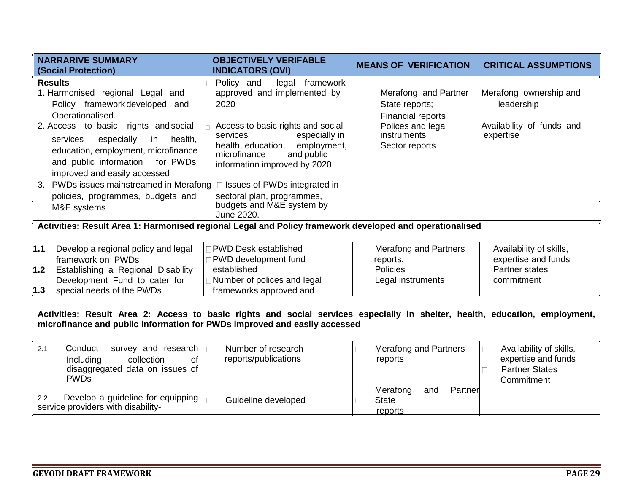| <b>NARRARIVE SUMMARY</b><br><b>(Social Protection)</b>                                                                                                                                                                                                                                                                                                                                                  | <b>OBJECTIVELY VERIFABLE</b><br><b>INDICATORS (OVI)</b>                                                                                                                                                                                                                                                                                                   | <b>MEANS OF VERIFICATION</b>                                                                                      | <b>CRITICAL ASSUMPTIONS</b>                                                                |  |  |  |  |
|---------------------------------------------------------------------------------------------------------------------------------------------------------------------------------------------------------------------------------------------------------------------------------------------------------------------------------------------------------------------------------------------------------|-----------------------------------------------------------------------------------------------------------------------------------------------------------------------------------------------------------------------------------------------------------------------------------------------------------------------------------------------------------|-------------------------------------------------------------------------------------------------------------------|--------------------------------------------------------------------------------------------|--|--|--|--|
| <b>Results</b><br>1. Harmonised regional Legal and<br>Policy framework developed and<br>Operationalised.<br>2. Access to basic rights and social<br>especially<br>health,<br>services<br>in<br>education, employment, microfinance<br>and public information<br>for PWDs<br>improved and easily accessed<br>3. PWDs issues mainstreamed in Merafong<br>policies, programmes, budgets and<br>M&E systems | Policy and<br>legal framework<br>approved and implemented by<br>2020<br>Access to basic rights and social<br>services<br>especially in<br>employment,<br>health, education,<br>microfinance<br>and public<br>information improved by 2020<br>$\Box$ Issues of PWDs integrated in<br>sectoral plan, programmes,<br>budgets and M&E system by<br>June 2020. | Merafong and Partner<br>State reports;<br>Financial reports<br>Polices and legal<br>instruments<br>Sector reports | Merafong ownership and<br>leadership<br>Availability of funds and<br>expertise             |  |  |  |  |
| Activities: Result Area 1: Harmonised regional Legal and Policy framework developed and operationalised                                                                                                                                                                                                                                                                                                 |                                                                                                                                                                                                                                                                                                                                                           |                                                                                                                   |                                                                                            |  |  |  |  |
| 1.1<br>Develop a regional policy and legal<br>framework on PWDs                                                                                                                                                                                                                                                                                                                                         | <b>PWD Desk established</b><br>PWD development fund                                                                                                                                                                                                                                                                                                       | <b>Merafong and Partners</b><br>reports,                                                                          | Availability of skills,<br>expertise and funds                                             |  |  |  |  |
| Establishing a Regional Disability<br>1.2<br>Development Fund to cater for                                                                                                                                                                                                                                                                                                                              | established<br>□ Number of polices and legal                                                                                                                                                                                                                                                                                                              | <b>Policies</b><br>Legal instruments                                                                              | <b>Partner states</b><br>commitment                                                        |  |  |  |  |
| frameworks approved and<br>special needs of the PWDs<br>1.3<br>Activities: Result Area 2: Access to basic rights and social services especially in shelter, health, education, employment,<br>microfinance and public information for PWDs improved and easily accessed                                                                                                                                 |                                                                                                                                                                                                                                                                                                                                                           |                                                                                                                   |                                                                                            |  |  |  |  |
| Conduct<br>2.1<br>survey and research<br>Including<br>collection<br>of<br>disaggregated data on issues of<br><b>PWDs</b>                                                                                                                                                                                                                                                                                | Number of research<br>П<br>reports/publications                                                                                                                                                                                                                                                                                                           | <b>Merafong and Partners</b><br>reports<br>Merafong<br>Partner<br>and                                             | Availability of skills,<br>П<br>expertise and funds<br><b>Partner States</b><br>Commitment |  |  |  |  |
| Develop a guideline for equipping<br>2.2<br>service providers with disability-                                                                                                                                                                                                                                                                                                                          | Guideline developed                                                                                                                                                                                                                                                                                                                                       | <b>State</b><br>reports                                                                                           |                                                                                            |  |  |  |  |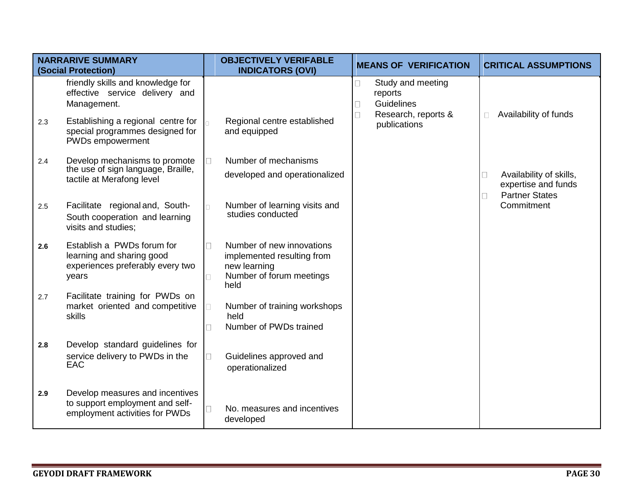|     | <b>NARRARIVE SUMMARY</b><br>(Social Protection)                                                      |                   | <b>OBJECTIVELY VERIFABLE</b><br><b>INDICATORS (OVI)</b>                                                     |             | <b>MEANS OF VERIFICATION</b>                                      |        | <b>CRITICAL ASSUMPTIONS</b>                                             |
|-----|------------------------------------------------------------------------------------------------------|-------------------|-------------------------------------------------------------------------------------------------------------|-------------|-------------------------------------------------------------------|--------|-------------------------------------------------------------------------|
|     | friendly skills and knowledge for<br>effective service delivery and<br>Management.                   |                   |                                                                                                             | П<br>$\Box$ | Study and meeting<br>reports<br>Guidelines<br>Research, reports & | $\Box$ | Availability of funds                                                   |
| 2.3 | Establishing a regional centre for<br>special programmes designed for<br>PWDs empowerment            |                   | Regional centre established<br>and equipped                                                                 |             | publications                                                      |        |                                                                         |
| 2.4 | Develop mechanisms to promote                                                                        | $\Box$            | Number of mechanisms                                                                                        |             |                                                                   |        |                                                                         |
|     | the use of sign language, Braille,<br>tactile at Merafong level                                      |                   | developed and operationalized                                                                               |             |                                                                   |        | Availability of skills,<br>expertise and funds<br><b>Partner States</b> |
| 2.5 | Facilitate regional and, South-<br>South cooperation and learning<br>visits and studies;             |                   | Number of learning visits and<br>studies conducted                                                          |             |                                                                   |        | Commitment                                                              |
| 2.6 | Establish a PWDs forum for<br>learning and sharing good<br>experiences preferably every two<br>years | П<br>$\Box$       | Number of new innovations<br>implemented resulting from<br>new learning<br>Number of forum meetings<br>held |             |                                                                   |        |                                                                         |
| 2.7 | Facilitate training for PWDs on<br>market oriented and competitive<br>skills                         | П                 | Number of training workshops<br>held<br>Number of PWDs trained                                              |             |                                                                   |        |                                                                         |
| 2.8 | Develop standard guidelines for<br>service delivery to PWDs in the<br>EAC                            | $\Box$            | Guidelines approved and<br>operationalized                                                                  |             |                                                                   |        |                                                                         |
| 2.9 | Develop measures and incentives<br>to support employment and self-<br>employment activities for PWDs | $\vert \ \ \vert$ | No. measures and incentives<br>developed                                                                    |             |                                                                   |        |                                                                         |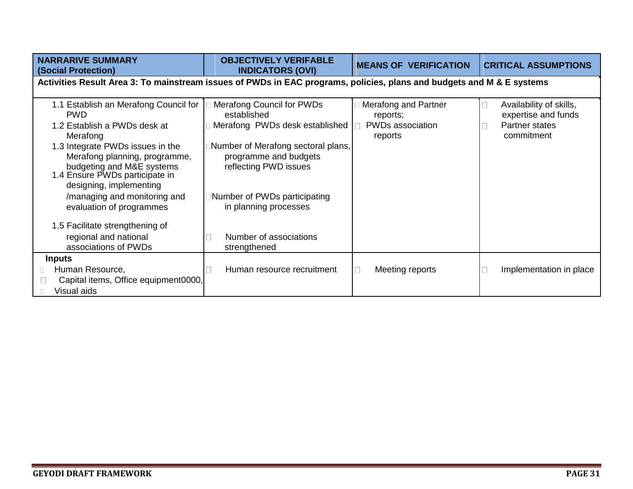| <b>NARRARIVE SUMMARY</b><br><b>(Social Protection)</b>                                                                                                                                                                                                                                                                     | <b>OBJECTIVELY VERIFABLE</b><br><b>INDICATORS (OVI)</b>                                                                                                                                                                     | <b>MEANS OF VERIFICATION</b>                                    | <b>CRITICAL ASSUMPTIONS</b>                                                    |  |  |  |
|----------------------------------------------------------------------------------------------------------------------------------------------------------------------------------------------------------------------------------------------------------------------------------------------------------------------------|-----------------------------------------------------------------------------------------------------------------------------------------------------------------------------------------------------------------------------|-----------------------------------------------------------------|--------------------------------------------------------------------------------|--|--|--|
| Activities Result Area 3: To mainstream issues of PWDs in EAC programs, policies, plans and budgets and M & E systems                                                                                                                                                                                                      |                                                                                                                                                                                                                             |                                                                 |                                                                                |  |  |  |
| 1.1 Establish an Merafong Council for<br><b>PWD</b><br>1.2 Establish a PWDs desk at<br>Merafong<br>1.3 Integrate PWDs issues in the<br>Merafong planning, programme,<br>budgeting and M&E systems<br>1.4 Ensure PWDs participate in<br>designing, implementing<br>/managing and monitoring and<br>evaluation of programmes | Merafong Council for PWDs<br>established<br>Merafong PWDs desk established<br>Number of Merafong sectoral plans,<br>programme and budgets<br>reflecting PWD issues<br>Number of PWDs participating<br>in planning processes | Merafong and Partner<br>reports;<br>PWDs association<br>reports | Availability of skills,<br>expertise and funds<br>Partner states<br>commitment |  |  |  |
| 1.5 Facilitate strengthening of<br>regional and national<br>associations of PWDs<br><b>Inputs</b><br>Human Resource,<br>Capital items, Office equipment0000,<br>Visual aids                                                                                                                                                | Number of associations<br>strengthened<br>Human resource recruitment                                                                                                                                                        | Meeting reports                                                 | Implementation in place                                                        |  |  |  |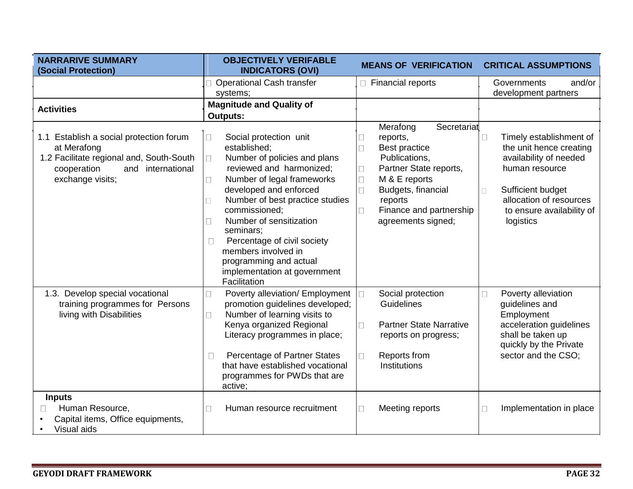| <b>NARRARIVE SUMMARY</b><br>(Social Protection)                                                                                                               | <b>OBJECTIVELY VERIFABLE</b><br><b>INDICATORS (OVI)</b>                                                                                                                                                                                                                                                                                                                                                                                    | <b>MEANS OF VERIFICATION</b>                                                                                                                                                                                                                                | <b>CRITICAL ASSUMPTIONS</b>                                                                                                                                                                             |
|---------------------------------------------------------------------------------------------------------------------------------------------------------------|--------------------------------------------------------------------------------------------------------------------------------------------------------------------------------------------------------------------------------------------------------------------------------------------------------------------------------------------------------------------------------------------------------------------------------------------|-------------------------------------------------------------------------------------------------------------------------------------------------------------------------------------------------------------------------------------------------------------|---------------------------------------------------------------------------------------------------------------------------------------------------------------------------------------------------------|
|                                                                                                                                                               | <b>Operational Cash transfer</b><br>systems;                                                                                                                                                                                                                                                                                                                                                                                               | □ Financial reports                                                                                                                                                                                                                                         | Governments<br>and/or<br>development partners                                                                                                                                                           |
| <b>Activities</b>                                                                                                                                             | <b>Magnitude and Quality of</b><br><b>Outputs:</b>                                                                                                                                                                                                                                                                                                                                                                                         |                                                                                                                                                                                                                                                             |                                                                                                                                                                                                         |
| 1.1 Establish a social protection forum<br>at Merafong<br>1.2 Facilitate regional and, South-South<br>cooperation<br>international<br>and<br>exchange visits; | Social protection unit<br>$\mathbf{L}$<br>established:<br>Number of policies and plans<br>П<br>reviewed and harmonized;<br>Number of legal frameworks<br>$\mathbf{L}$<br>developed and enforced<br>Number of best practice studies<br>$\Box$<br>commissioned;<br>Number of sensitization<br>П<br>seminars:<br>Percentage of civil society<br>members involved in<br>programming and actual<br>implementation at government<br>Facilitation | Merafong<br>Secretariat<br>reports,<br>$\sqcup$<br>Best practice<br>$\Box$<br>Publications,<br>Partner State reports,<br>$\Box$<br>M & E reports<br>$\Box$<br>$\Box$<br>Budgets, financial<br>reports<br>Finance and partnership<br>П<br>agreements signed; | Timely establishment of<br>П<br>the unit hence creating<br>availability of needed<br>human resource<br>Sufficient budget<br>$\Box$<br>allocation of resources<br>to ensure availability of<br>logistics |
| 1.3. Develop special vocational<br>training programmes for Persons<br>living with Disabilities                                                                | Poverty alleviation/ Employment<br>П<br>promotion guidelines developed;<br>Number of learning visits to<br>$\mathbf{L}$<br>Kenya organized Regional<br>Literacy programmes in place;<br>Percentage of Partner States<br>that have established vocational<br>programmes for PWDs that are<br>active;                                                                                                                                        | Social protection<br>Guidelines<br><b>Partner State Narrative</b><br>$\Box$<br>reports on progress;<br>Reports from<br>П<br>Institutions                                                                                                                    | Poverty alleviation<br>П<br>guidelines and<br>Employment<br>acceleration guidelines<br>shall be taken up<br>quickly by the Private<br>sector and the CSO;                                               |
| <b>Inputs</b><br>Human Resource,<br>Capital items, Office equipments,<br>Visual aids                                                                          | Human resource recruitment<br>$\vert \ \ \vert$                                                                                                                                                                                                                                                                                                                                                                                            | Meeting reports<br>П                                                                                                                                                                                                                                        | Implementation in place<br>П                                                                                                                                                                            |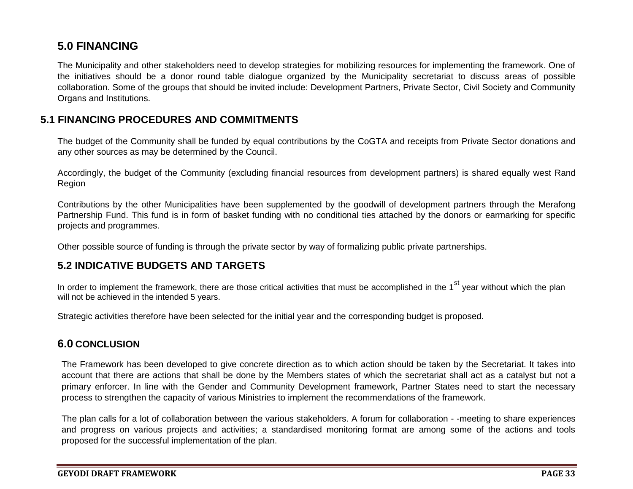## **5.0 FINANCING**

The Municipality and other stakeholders need to develop strategies for mobilizing resources for implementing the framework. One of the initiatives should be a donor round table dialogue organized by the Municipality secretariat to discuss areas of possible collaboration. Some of the groups that should be invited include: Development Partners, Private Sector, Civil Society and Community Organs and Institutions.

## **5.1 FINANCING PROCEDURES AND COMMITMENTS**

The budget of the Community shall be funded by equal contributions by the CoGTA and receipts from Private Sector donations and any other sources as may be determined by the Council.

Accordingly, the budget of the Community (excluding financial resources from development partners) is shared equally west Rand Region

Contributions by the other Municipalities have been supplemented by the goodwill of development partners through the Merafong Partnership Fund. This fund is in form of basket funding with no conditional ties attached by the donors or earmarking for specific projects and programmes.

Other possible source of funding is through the private sector by way of formalizing public private partnerships.

## **5.2 INDICATIVE BUDGETS AND TARGETS**

In order to implement the framework, there are those critical activities that must be accomplished in the 1<sup>st</sup> year without which the plan will not be achieved in the intended 5 years.

Strategic activities therefore have been selected for the initial year and the corresponding budget is proposed.

## **6.0 CONCLUSION**

The Framework has been developed to give concrete direction as to which action should be taken by the Secretariat. It takes into account that there are actions that shall be done by the Members states of which the secretariat shall act as a catalyst but not a primary enforcer. In line with the Gender and Community Development framework, Partner States need to start the necessary process to strengthen the capacity of various Ministries to implement the recommendations of the framework.

The plan calls for a lot of collaboration between the various stakeholders. A forum for collaboration - -meeting to share experiences and progress on various projects and activities; a standardised monitoring format are among some of the actions and tools proposed for the successful implementation of the plan.